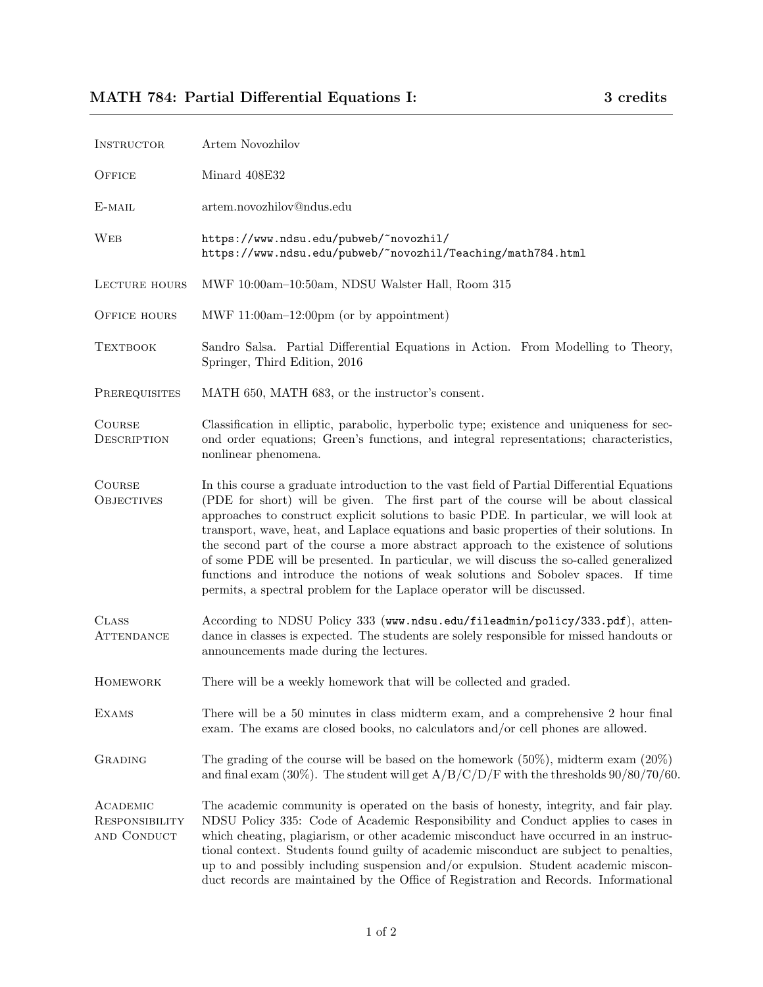| INSTRUCTOR                                       | Artem Novozhilov                                                                                                                                                                                                                                                                                                                                                                                                                                                                                                                                                                                                                                                                                                            |
|--------------------------------------------------|-----------------------------------------------------------------------------------------------------------------------------------------------------------------------------------------------------------------------------------------------------------------------------------------------------------------------------------------------------------------------------------------------------------------------------------------------------------------------------------------------------------------------------------------------------------------------------------------------------------------------------------------------------------------------------------------------------------------------------|
| OFFICE                                           | Minard 408E32                                                                                                                                                                                                                                                                                                                                                                                                                                                                                                                                                                                                                                                                                                               |
| E-MAIL                                           | artem.novozhilov@ndus.edu                                                                                                                                                                                                                                                                                                                                                                                                                                                                                                                                                                                                                                                                                                   |
| WEB                                              | https://www.ndsu.edu/pubweb/~novozhil/<br>https://www.ndsu.edu/pubweb/~novozhil/Teaching/math784.html                                                                                                                                                                                                                                                                                                                                                                                                                                                                                                                                                                                                                       |
| LECTURE HOURS                                    | MWF 10:00am-10:50am, NDSU Walster Hall, Room 315                                                                                                                                                                                                                                                                                                                                                                                                                                                                                                                                                                                                                                                                            |
| <b>OFFICE HOURS</b>                              | MWF 11:00am-12:00pm (or by appointment)                                                                                                                                                                                                                                                                                                                                                                                                                                                                                                                                                                                                                                                                                     |
| <b>TEXTBOOK</b>                                  | Sandro Salsa. Partial Differential Equations in Action. From Modelling to Theory,<br>Springer, Third Edition, 2016                                                                                                                                                                                                                                                                                                                                                                                                                                                                                                                                                                                                          |
| PREREQUISITES                                    | MATH 650, MATH 683, or the instructor's consent.                                                                                                                                                                                                                                                                                                                                                                                                                                                                                                                                                                                                                                                                            |
| <b>COURSE</b><br>DESCRIPTION                     | Classification in elliptic, parabolic, hyperbolic type; existence and uniqueness for sec-<br>ond order equations; Green's functions, and integral representations; characteristics,<br>nonlinear phenomena.                                                                                                                                                                                                                                                                                                                                                                                                                                                                                                                 |
| <b>COURSE</b><br><b>OBJECTIVES</b>               | In this course a graduate introduction to the vast field of Partial Differential Equations<br>(PDE for short) will be given. The first part of the course will be about classical<br>approaches to construct explicit solutions to basic PDE. In particular, we will look at<br>transport, wave, heat, and Laplace equations and basic properties of their solutions. In<br>the second part of the course a more abstract approach to the existence of solutions<br>of some PDE will be presented. In particular, we will discuss the so-called generalized<br>functions and introduce the notions of weak solutions and Sobolev spaces. If time<br>permits, a spectral problem for the Laplace operator will be discussed. |
| <b>CLASS</b><br>ATTENDANCE                       | According to NDSU Policy 333 (www.ndsu.edu/fileadmin/policy/333.pdf), atten-<br>dance in classes is expected. The students are solely responsible for missed handouts or<br>announcements made during the lectures.                                                                                                                                                                                                                                                                                                                                                                                                                                                                                                         |
| HOMEWORK                                         | There will be a weekly homework that will be collected and graded.                                                                                                                                                                                                                                                                                                                                                                                                                                                                                                                                                                                                                                                          |
| <b>EXAMS</b>                                     | There will be a 50 minutes in class midterm exam, and a comprehensive 2 hour final<br>exam. The exams are closed books, no calculators and/or cell phones are allowed.                                                                                                                                                                                                                                                                                                                                                                                                                                                                                                                                                      |
| <b>GRADING</b>                                   | The grading of the course will be based on the homework $(50\%)$ , midterm exam $(20\%)$<br>and final exam (30%). The student will get $A/B/C/D/F$ with the thresholds 90/80/70/60.                                                                                                                                                                                                                                                                                                                                                                                                                                                                                                                                         |
| ACADEMIC<br><b>RESPONSIBILITY</b><br>AND CONDUCT | The academic community is operated on the basis of honesty, integrity, and fair play.<br>NDSU Policy 335: Code of Academic Responsibility and Conduct applies to cases in<br>which cheating, plagiarism, or other academic misconduct have occurred in an instruc-<br>tional context. Students found guilty of academic misconduct are subject to penalties,<br>up to and possibly including suspension $\text{and/or}$ expulsion. Student academic miscon-<br>duct records are maintained by the Office of Registration and Records. Informational                                                                                                                                                                         |